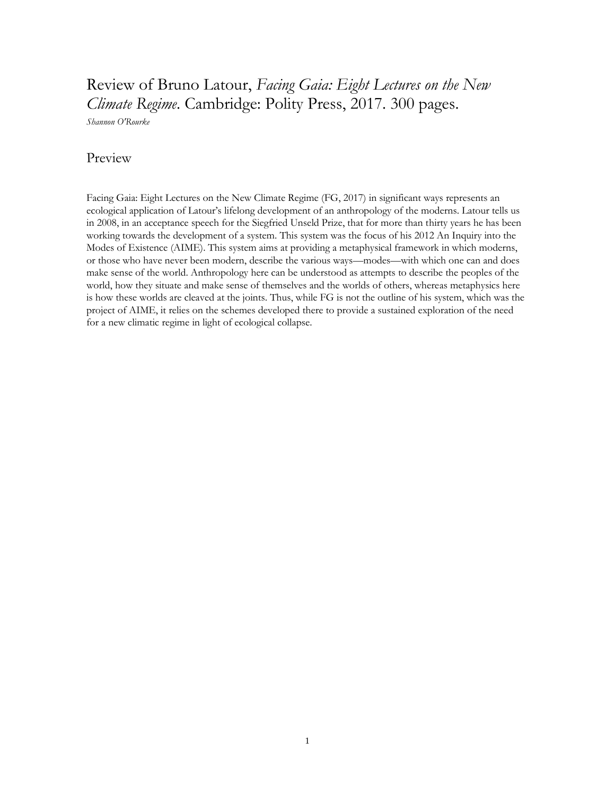## Review of Bruno Latour, *Facing Gaia: Eight Lectures on the New Climate Regime*. Cambridge: Polity Press, 2017. 300 pages.

*Shannon O'Rourke*

## Preview

Facing Gaia: Eight Lectures on the New Climate Regime (FG, 2017) in significant ways represents an ecological application of Latour's lifelong development of an anthropology of the moderns. Latour tells us in 2008, in an acceptance speech for the Siegfried Unseld Prize, that for more than thirty years he has been working towards the development of a system. This system was the focus of his 2012 An Inquiry into the Modes of Existence (AIME). This system aims at providing a metaphysical framework in which moderns, or those who have never been modern, describe the various ways—modes—with which one can and does make sense of the world. Anthropology here can be understood as attempts to describe the peoples of the world, how they situate and make sense of themselves and the worlds of others, whereas metaphysics here is how these worlds are cleaved at the joints. Thus, while FG is not the outline of his system, which was the project of AIME, it relies on the schemes developed there to provide a sustained exploration of the need for a new climatic regime in light of ecological collapse.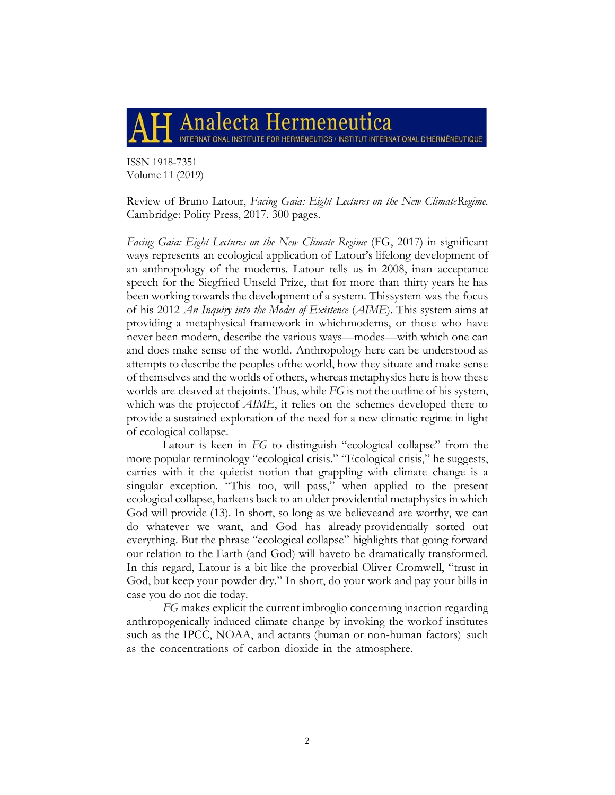## Analecta Hermeneutica INTERNATIONAL INSTITUTE FOR HERMENEUTICS / INSTITUT INTERNATIONAL D'HERMÉNEUTIQUE

ISSN 1918-7351 Volume 11 (2019)

Review of Bruno Latour, *Facing Gaia: Eight Lectures on the New ClimateRegime.* Cambridge: Polity Press, 2017. 300 pages.

Facing Gaia: Eight Lectures on the New Climate Regime (FG, 2017) in significant ways represents an ecological application of Latour's lifelong development of an anthropology of the moderns. Latour tells us in 2008, inan acceptance speech for the Siegfried Unseld Prize, that for more than thirty years he has been working towards the development of a system. Thissystem was the focus of his 2012 *An Inquiry into the Modes of Existence* (*AIME*). This system aims at providing a metaphysical framework in whichmoderns, or those who have never been modern, describe the various ways—modes—with which one can and does make sense of the world. Anthropology here can be understood as attempts to describe the peoples ofthe world, how they situate and make sense of themselves and the worlds of others, whereas metaphysics here is how these worlds are cleaved at thejoints. Thus, while *FG* is not the outline of his system, which was the projectof *AIME*, it relies on the schemes developed there to provide a sustained exploration of the need for a new climatic regime in light of ecological collapse.

Latour is keen in *FG* to distinguish "ecological collapse" from the more popular terminology "ecological crisis." "Ecological crisis," he suggests, carries with it the quietist notion that grappling with climate change is a singular exception. "This too, will pass," when applied to the present ecological collapse, harkens back to an older providential metaphysicsin which God will provide (13). In short, so long as we believeand are worthy, we can do whatever we want, and God has already providentially sorted out everything. But the phrase "ecological collapse" highlights that going forward our relation to the Earth (and God) will haveto be dramatically transformed. In this regard, Latour is a bit like the proverbial Oliver Cromwell, "trust in God, but keep your powder dry." In short, do your work and pay your bills in case you do not die today.

*FG* makes explicit the current imbroglio concerning inaction regarding anthropogenically induced climate change by invoking the workof institutes such as the IPCC, NOAA, and actants (human or non-human factors) such as the concentrations of carbon dioxide in the atmosphere.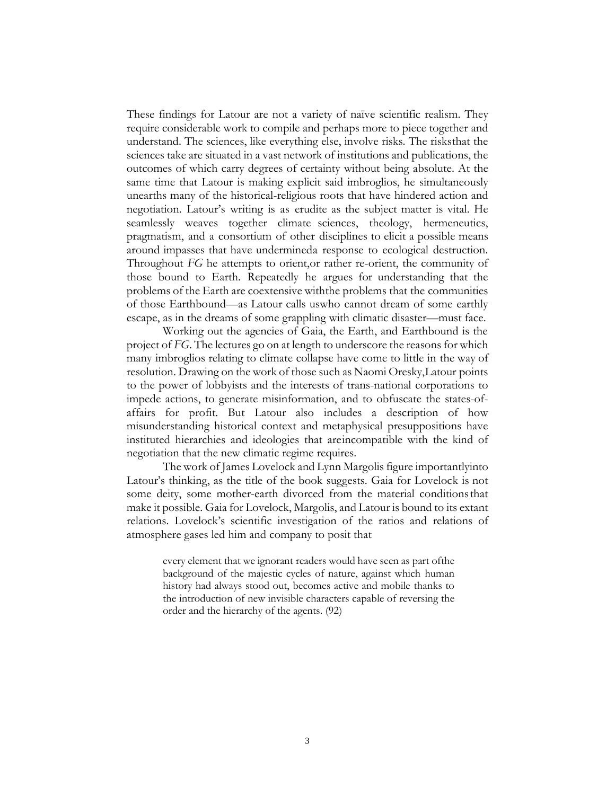These findings for Latour are not a variety of naïve scientific realism. They require considerable work to compile and perhaps more to piece together and understand. The sciences, like everything else, involve risks. The risksthat the sciences take are situated in a vast network of institutions and publications, the outcomes of which carry degrees of certainty without being absolute. At the same time that Latour is making explicit said imbroglios, he simultaneously unearths many of the historical-religious roots that have hindered action and negotiation. Latour's writing is as erudite as the subject matter is vital. He seamlessly weaves together climate sciences, theology, hermeneutics, pragmatism, and a consortium of other disciplines to elicit a possible means around impasses that have undermineda response to ecological destruction. Throughout *FG* he attempts to orient,or rather re-orient, the community of those bound to Earth. Repeatedly he argues for understanding that the problems of the Earth are coextensive withthe problems that the communities of those Earthbound—as Latour calls uswho cannot dream of some earthly escape, as in the dreams of some grappling with climatic disaster—must face.

Working out the agencies of Gaia, the Earth, and Earthbound is the project of *FG*. The lectures go on at length to underscore the reasons for which many imbroglios relating to climate collapse have come to little in the way of resolution. Drawing on the work of those such as Naomi Oresky,Latour points to the power of lobbyists and the interests of trans-national corporations to impede actions, to generate misinformation, and to obfuscate the states-ofaffairs for profit. But Latour also includes a description of how misunderstanding historical context and metaphysical presuppositions have instituted hierarchies and ideologies that areincompatible with the kind of negotiation that the new climatic regime requires.

The work of James Lovelock and Lynn Margolis figure importantlyinto Latour's thinking, as the title of the book suggests. Gaia for Lovelock is not some deity, some mother-earth divorced from the material conditionsthat make it possible. Gaia for Lovelock, Margolis, and Latour is bound to its extant relations. Lovelock's scientific investigation of the ratios and relations of atmosphere gases led him and company to posit that

every element that we ignorant readers would have seen as part ofthe background of the majestic cycles of nature, against which human history had always stood out, becomes active and mobile thanks to the introduction of new invisible characters capable of reversing the order and the hierarchy of the agents. (92)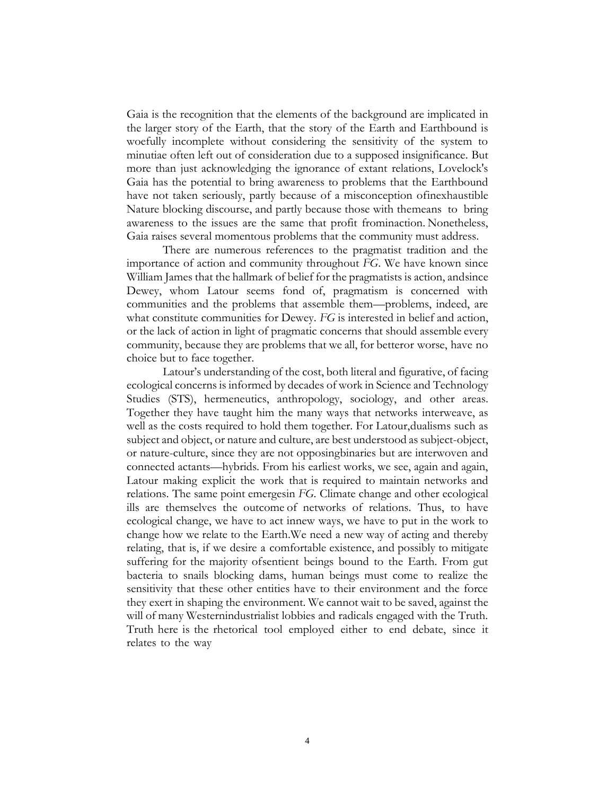Gaia is the recognition that the elements of the background are implicated in the larger story of the Earth, that the story of the Earth and Earthbound is woefully incomplete without considering the sensitivity of the system to minutiae often left out of consideration due to a supposed insignificance. But more than just acknowledging the ignorance of extant relations, Lovelock's Gaia has the potential to bring awareness to problems that the Earthbound have not taken seriously, partly because of a misconception ofinexhaustible Nature blocking discourse, and partly because those with themeans to bring awareness to the issues are the same that profit frominaction. Nonetheless, Gaia raises several momentous problems that the community must address.

There are numerous references to the pragmatist tradition and the importance of action and community throughout *FG*. We have known since William James that the hallmark of belief for the pragmatists is action, andsince Dewey, whom Latour seems fond of, pragmatism is concerned with communities and the problems that assemble them—problems, indeed, are what constitute communities for Dewey. *FG* is interested in belief and action, or the lack of action in light of pragmatic concerns that should assemble every community, because they are problems that we all, for betteror worse, have no choice but to face together.

Latour's understanding of the cost, both literal and figurative, of facing ecological concerns is informed by decades of work in Science and Technology Studies (STS), hermeneutics, anthropology, sociology, and other areas. Together they have taught him the many ways that networks interweave, as well as the costs required to hold them together. For Latour,dualisms such as subject and object, or nature and culture, are best understood as subject-object, or nature-culture, since they are not opposingbinaries but are interwoven and connected actants—hybrids. From his earliest works, we see, again and again, Latour making explicit the work that is required to maintain networks and relations. The same point emergesin *FG*. Climate change and other ecological ills are themselves the outcome of networks of relations. Thus, to have ecological change, we have to act innew ways, we have to put in the work to change how we relate to the Earth.We need a new way of acting and thereby relating, that is, if we desire a comfortable existence, and possibly to mitigate suffering for the majority ofsentient beings bound to the Earth. From gut bacteria to snails blocking dams, human beings must come to realize the sensitivity that these other entities have to their environment and the force they exert in shaping the environment. We cannot wait to be saved, against the will of many Westernindustrialist lobbies and radicals engaged with the Truth. Truth here is the rhetorical tool employed either to end debate, since it relates to the way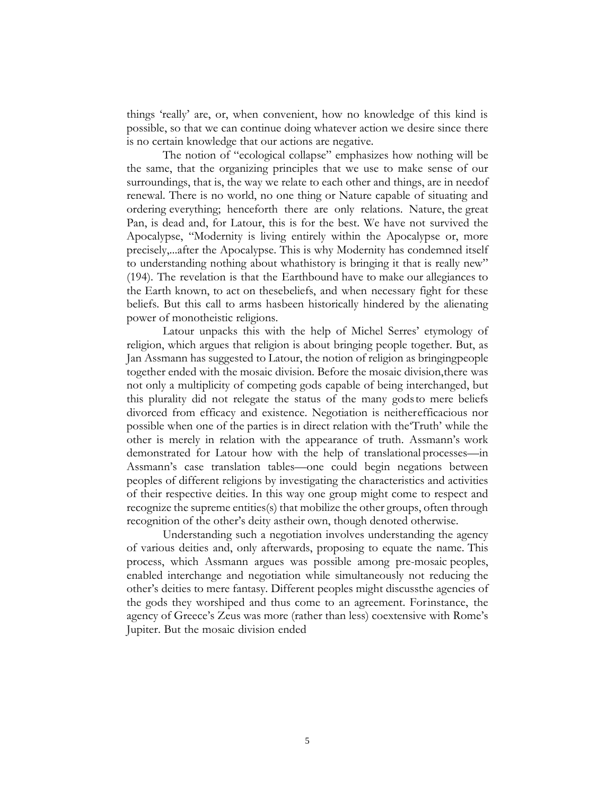things 'really' are, or, when convenient, how no knowledge of this kind is possible, so that we can continue doing whatever action we desire since there is no certain knowledge that our actions are negative.

The notion of "ecological collapse" emphasizes how nothing will be the same, that the organizing principles that we use to make sense of our surroundings, that is, the way we relate to each other and things, are in needof renewal. There is no world, no one thing or Nature capable of situating and ordering everything; henceforth there are only relations. Nature, the great Pan, is dead and, for Latour, this is for the best. We have not survived the Apocalypse, "Modernity is living entirely within the Apocalypse or, more precisely,...after the Apocalypse. This is why Modernity has condemned itself to understanding nothing about whathistory is bringing it that is really new" (194). The revelation is that the Earthbound have to make our allegiances to the Earth known, to act on thesebeliefs, and when necessary fight for these beliefs. But this call to arms hasbeen historically hindered by the alienating power of monotheistic religions.

Latour unpacks this with the help of Michel Serres' etymology of religion, which argues that religion is about bringing people together. But, as Jan Assmann has suggested to Latour, the notion of religion as bringingpeople together ended with the mosaic division. Before the mosaic division,there was not only a multiplicity of competing gods capable of being interchanged, but this plurality did not relegate the status of the many godsto mere beliefs divorced from efficacy and existence. Negotiation is neitherefficacious nor possible when one of the parties is in direct relation with the'Truth' while the other is merely in relation with the appearance of truth. Assmann's work demonstrated for Latour how with the help of translational processes—in Assmann's case translation tables—one could begin negations between peoples of different religions by investigating the characteristics and activities of their respective deities. In this way one group might come to respect and recognize the supreme entities(s) that mobilize the other groups, often through recognition of the other's deity astheir own, though denoted otherwise.

Understanding such a negotiation involves understanding the agency of various deities and, only afterwards, proposing to equate the name. This process, which Assmann argues was possible among pre-mosaic peoples, enabled interchange and negotiation while simultaneously not reducing the other's deities to mere fantasy. Different peoples might discussthe agencies of the gods they worshiped and thus come to an agreement. Forinstance, the agency of Greece's Zeus was more (rather than less) coextensive with Rome's Jupiter. But the mosaic division ended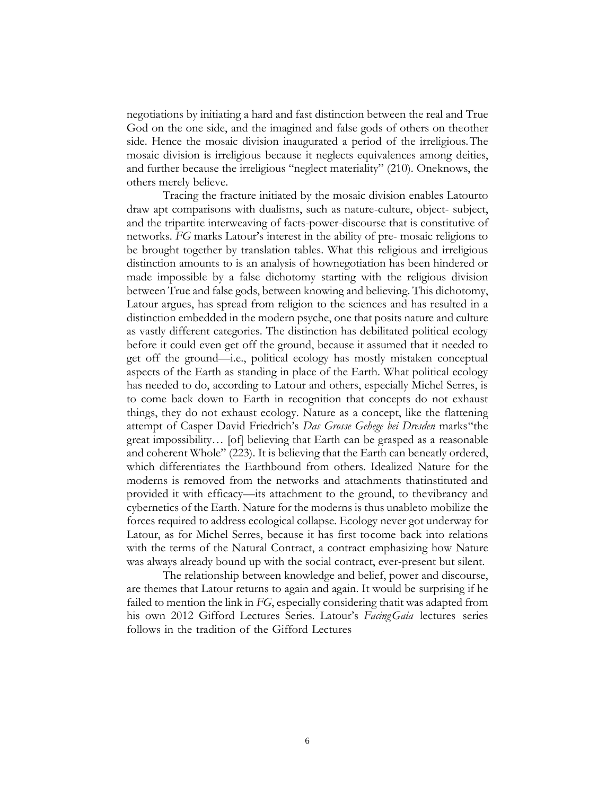negotiations by initiating a hard and fast distinction between the real and True God on the one side, and the imagined and false gods of others on theother side. Hence the mosaic division inaugurated a period of the irreligious.The mosaic division is irreligious because it neglects equivalences among deities, and further because the irreligious "neglect materiality" (210). Oneknows, the others merely believe.

Tracing the fracture initiated by the mosaic division enables Latourto draw apt comparisons with dualisms, such as nature-culture, object- subject, and the tripartite interweaving of facts-power-discourse that is constitutive of networks. *FG* marks Latour's interest in the ability of pre- mosaic religions to be brought together by translation tables. What this religious and irreligious distinction amounts to is an analysis of hownegotiation has been hindered or made impossible by a false dichotomy starting with the religious division between True and false gods, between knowing and believing. This dichotomy, Latour argues, has spread from religion to the sciences and has resulted in a distinction embedded in the modern psyche, one that posits nature and culture as vastly different categories. The distinction has debilitated political ecology before it could even get off the ground, because it assumed that it needed to get off the ground—i.e., political ecology has mostly mistaken conceptual aspects of the Earth as standing in place of the Earth. What political ecology has needed to do, according to Latour and others, especially Michel Serres, is to come back down to Earth in recognition that concepts do not exhaust things, they do not exhaust ecology. Nature as a concept, like the flattening attempt of Casper David Friedrich's *Das Grosse Gehege bei Dresden* marks"the great impossibility… [of] believing that Earth can be grasped as a reasonable and coherent Whole" (223). It is believing that the Earth can beneatly ordered, which differentiates the Earthbound from others. Idealized Nature for the moderns is removed from the networks and attachments thatinstituted and provided it with efficacy—its attachment to the ground, to thevibrancy and cybernetics of the Earth. Nature for the moderns is thus unableto mobilize the forces required to address ecological collapse. Ecology never got underway for Latour, as for Michel Serres, because it has first tocome back into relations with the terms of the Natural Contract, a contract emphasizing how Nature was always already bound up with the social contract, ever-present but silent.

The relationship between knowledge and belief, power and discourse, are themes that Latour returns to again and again. It would be surprising if he failed to mention the link in *FG*, especially considering thatit was adapted from his own 2012 Gifford Lectures Series. Latour's *FacingGaia* lectures series follows in the tradition of the Gifford Lectures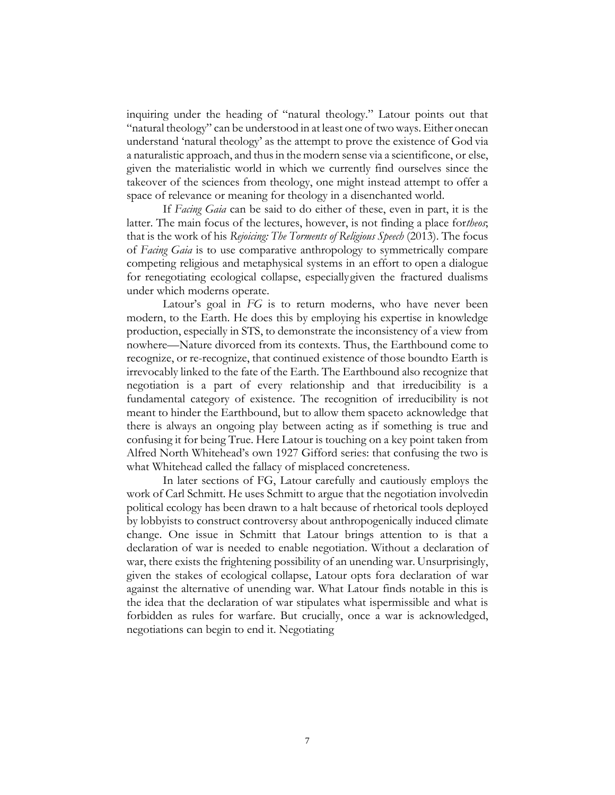inquiring under the heading of "natural theology." Latour points out that "natural theology" can be understood in at least one of two ways. Either onecan understand 'natural theology' as the attempt to prove the existence of God via a naturalistic approach, and thusin the modern sense via a scientificone, or else, given the materialistic world in which we currently find ourselves since the takeover of the sciences from theology, one might instead attempt to offer a space of relevance or meaning for theology in a disenchanted world.

If *Facing Gaia* can be said to do either of these, even in part, it is the latter. The main focus of the lectures, however, is not finding a place for*theos*; that is the work of his *Rejoicing: The Torments of Religious Speech* (2013). The focus of *Facing Gaia* is to use comparative anthropology to symmetrically compare competing religious and metaphysical systems in an effort to open a dialogue for renegotiating ecological collapse, especiallygiven the fractured dualisms under which moderns operate.

Latour's goal in *FG* is to return moderns, who have never been modern, to the Earth. He does this by employing his expertise in knowledge production, especially in STS, to demonstrate the inconsistency of a view from nowhere—Nature divorced from its contexts. Thus, the Earthbound come to recognize, or re-recognize, that continued existence of those boundto Earth is irrevocably linked to the fate of the Earth. The Earthbound also recognize that negotiation is a part of every relationship and that irreducibility is a fundamental category of existence. The recognition of irreducibility is not meant to hinder the Earthbound, but to allow them spaceto acknowledge that there is always an ongoing play between acting as if something is true and confusing it for being True. Here Latour is touching on a key point taken from Alfred North Whitehead's own 1927 Gifford series: that confusing the two is what Whitehead called the fallacy of misplaced concreteness.

In later sections of FG, Latour carefully and cautiously employs the work of Carl Schmitt. He uses Schmitt to argue that the negotiation involvedin political ecology has been drawn to a halt because of rhetorical tools deployed by lobbyists to construct controversy about anthropogenically induced climate change. One issue in Schmitt that Latour brings attention to is that a declaration of war is needed to enable negotiation. Without a declaration of war, there exists the frightening possibility of an unending war. Unsurprisingly, given the stakes of ecological collapse, Latour opts fora declaration of war against the alternative of unending war. What Latour finds notable in this is the idea that the declaration of war stipulates what ispermissible and what is forbidden as rules for warfare. But crucially, once a war is acknowledged, negotiations can begin to end it. Negotiating